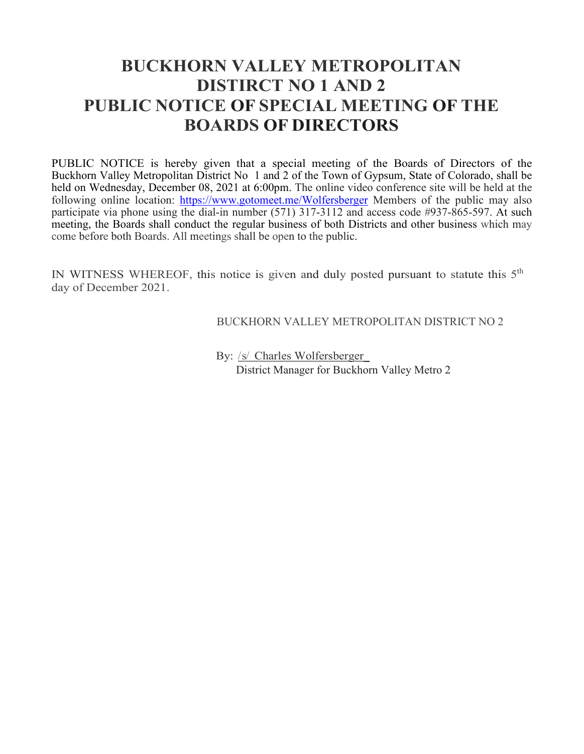# **BUCKHORN VALLEY METROPOLITAN DISTIRCT NO 1 AND 2 PUBLIC NOTICE OF SPECIAL MEETING OF THE BOARDS OF DIRECTORS**

PUBLIC NOTICE is hereby given that a special meeting of the Boards of Directors of the Buckhorn Valley Metropolitan District No 1 and 2 of the Town of Gypsum, State of Colorado, shall be held on Wednesday, December 08, 2021 at 6:00pm. The online video conference site will be held at the following online location:<https://www.gotomeet.me/Wolfersberger> Members of the public may also participate via phone using the dial-in number (571) 317-3112 and access code #937-865-597. At such meeting, the Boards shall conduct the regular business of both Districts and other business which may come before both Boards. All meetings shall be open to the public.

IN WITNESS WHEREOF, this notice is given and duly posted pursuant to statute this  $5<sup>th</sup>$ day of December 2021.

BUCKHORN VALLEY METROPOLITAN DISTRICT NO 2

By: /s/ Charles Wolfersberger District Manager for Buckhorn Valley Metro 2